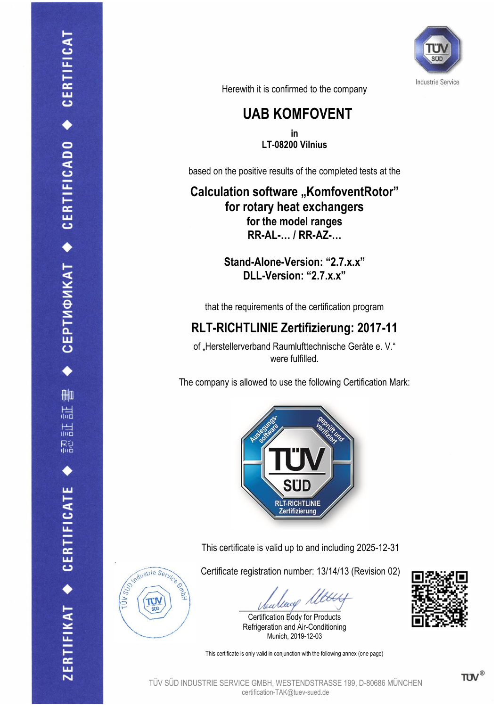

Herewith it is confirmed to the company

## **UAB KOMFOVENT**

**in LT-08200 Vilnius**

based on the positive results of the completed tests at the

**Calculation software "KomfoventRotor" for rotary heat exchangers for the model ranges RR-AL-… / RR-AZ-…**

> **Stand-Alone-Version: "2.7.x.x" DLL-Version: "2.7.x.x"**

that the requirements of the certification program

## **RLT-RICHTLINIE Zertifizierung: 2017-11**

of "Herstellerverband Raumlufttechnische Geräte e. V." were fulfilled.

The company is allowed to use the following Certification Mark:



This certificate is valid up to and including 2025-12-31

Certificate registration number: 13/14/13 (Revision 02)

bearless rue

Certification Body for Products Refrigeration and Air-Conditioning Munich, 2019-12-03

This certificate is only valid in conjunction with the following annex (one page)







Tΰ